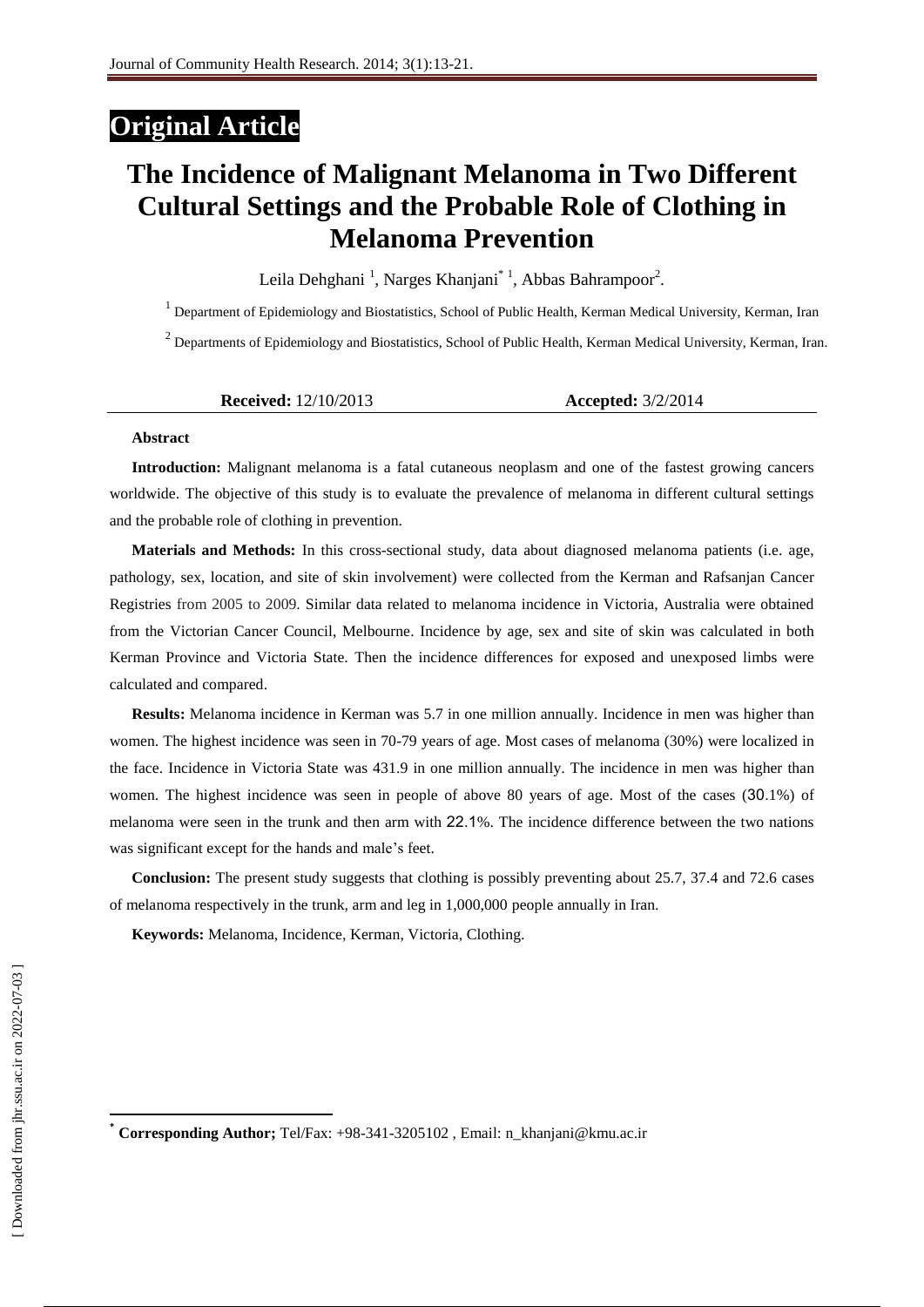## **Original Article**

# **The Incidence of Malignant Melanoma in Two Different Cultural Settings and the Probable Role of Clothing in Melanoma Prevention**

Leila Dehghani<sup>1</sup>, Narges Khanjani<sup>\*1</sup>, Abbas Bahrampoor<sup>2</sup>.

<sup>1</sup> Department of Epidemiology and Biostatistics, School of Public Health, Kerman Medical University, Kerman, Iran

 $2$  Departments of Epidemiology and Biostatistics, School of Public Health, Kerman Medical University, Kerman, Iran.

| <b>Received:</b> $12/10/2013$ | <b>Accepted:</b> 3/2/2014 |
|-------------------------------|---------------------------|
|-------------------------------|---------------------------|

#### **Abstract**

**Introduction:** Malignant melanoma is a fatal cutaneous neoplasm and one of the fastest growing cancers worldwide. The objective of this study is to evaluate the prevalence of melanoma in different cultural settings and the probable role of clothing in prevention.

**Materials and Methods:** In this cross-sectional study, data about diagnosed melanoma patients (i.e. age, pathology, sex, location, and site of skin involvement) were collected from the Kerman and Rafsanjan Cancer Registries from 2005 to 2009. Similar data related to melanoma incidence in Victoria, Australia were obtained from the Victorian Cancer Council, Melbourne. Incidence by age, sex and site of skin was calculated in both Kerman Province and Victoria State. Then the incidence differences for exposed and unexposed limbs were calculated and compared.

**Results:** Melanoma incidence in Kerman was 5.7 in one million annually. Incidence in men was higher than women. The highest incidence was seen in 70-79 years of age. Most cases of melanoma (30%) were localized in the face. Incidence in Victoria State was 431.9 in one million annually. The incidence in men was higher than women. The highest incidence was seen in people of above 80 years of age. Most of the cases (30.1%) of melanoma were seen in the trunk and then arm with 22.1%. The incidence difference between the two nations was significant except for the hands and male's feet.

**Conclusion:** The present study suggests that clothing is possibly preventing about 25.7, 37.4 and 72.6 cases of melanoma respectively in the trunk, arm and leg in 1,000,000 people annually in Iran.

**Keywords:** Melanoma, Incidence, Kerman, Victoria, Clothing.

 $\overline{a}$ 

**<sup>\*</sup> Corresponding Author;** Tel/Fax: +98-341-3205102 , Email: [n\\_khanjani@kmu.ac.ir](mailto:n_khanjani@kmu.ac.ir)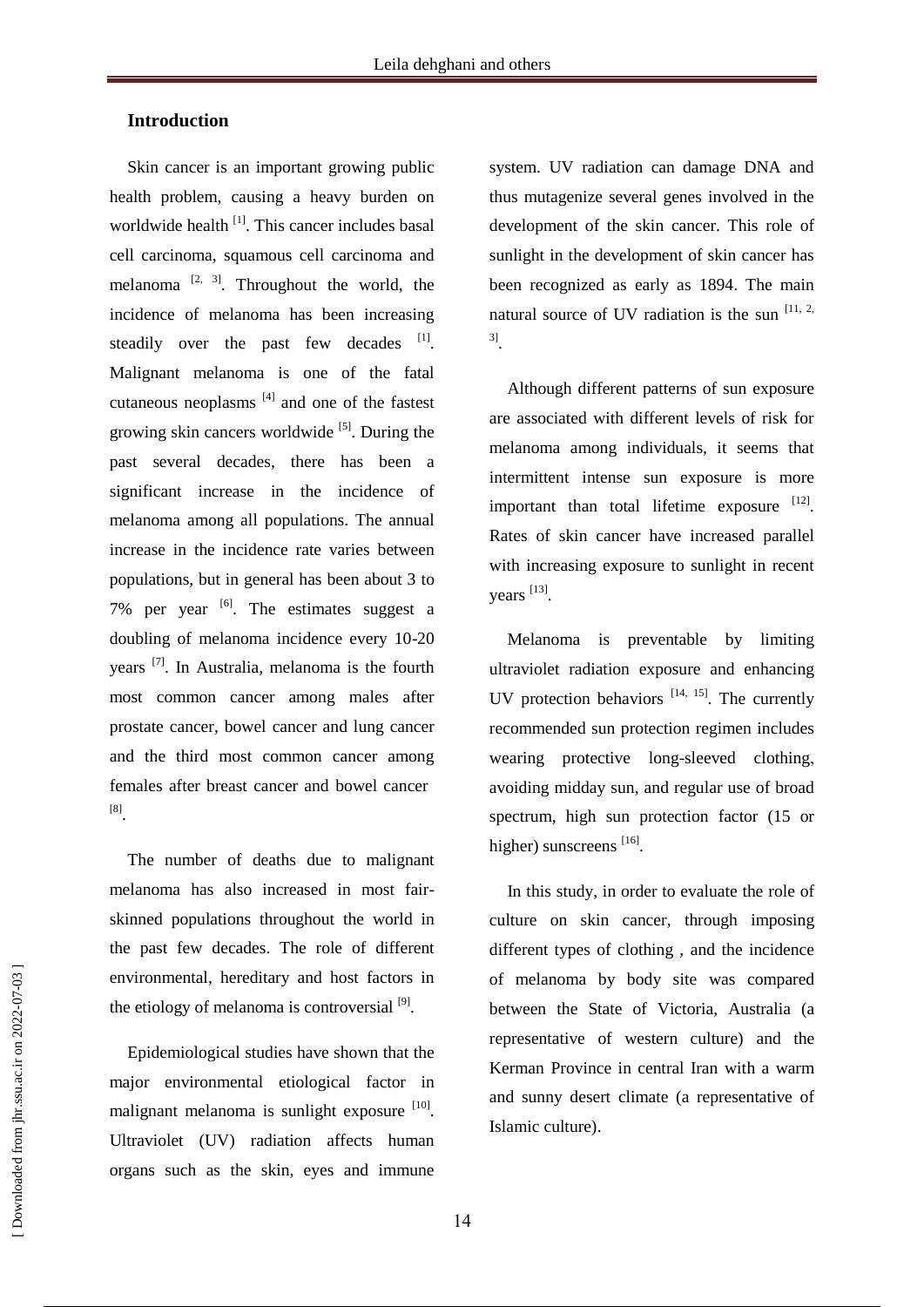### **Introduction**

Skin cancer is an important growing public health problem, causing a heavy burden on worldwide health <sup>[1]</sup>. This cancer includes basal cell carcinoma, squamous cell carcinoma and melanoma  $[2, 3]$ . Throughout the world, the incidence of melanoma has been increasing steadily over the past few decades  $[1]$ . Malignant melanoma is one of the fatal cutaneous neoplasms  $[4]$  and one of the fastest growing skin cancers worldwide <sup>[5]</sup>. During the past several decades, there has been a significant increase in the incidence of melanoma among all populations. The annual increase in the incidence rate varies between populations, but in general has been about 3 to 7% per year  $\left[6\right]$ . The estimates suggest a doubling of melanoma incidence every 10-20 years<sup>[7]</sup>. In Australia, melanoma is the fourth most common cancer among males after prostate cancer, bowel cancer and lung cancer and the third most common cancer among females after breast cancer and bowel cancer [8] .

The number of deaths due to malignant melanoma has also increased in most fairskinned populations throughout the world in the past few decades. The role of different environmental, hereditary and host factors in the etiology of melanoma is controversial  $^{[9]}$ .

Epidemiological studies have shown that the major environmental etiological factor in malignant melanoma is sunlight exposure [10]. Ultraviolet (UV) radiation affects human organs such as the skin, eyes and immune

system. UV radiation can damage DNA and thus mutagenize several genes involved in the development of the skin cancer. This role of sunlight in the development of skin cancer has been recognized as early as 1894. The main natural source of UV radiation is the sun  $[11, 2, 1]$ 3] .

Although different patterns of sun exposure are associated with different levels of risk for melanoma among individuals, it seems that intermittent intense sun exposure is more important than total lifetime exposure  $[12]$ . Rates of skin cancer have increased parallel with increasing exposure to sunlight in recent years [13].

Melanoma is preventable by limiting ultraviolet radiation exposure and enhancing UV protection behaviors  $[14, 15]$ . The currently recommended sun protection regimen includes wearing protective long-sleeved clothing, avoiding midday sun, and regular use of broad spectrum, high sun protection factor (15 or higher) sunscreens [16].

In this study, in order to evaluate the role of culture on skin cancer, through imposing different types of clothing , and the incidence of melanoma by body site was compared between the State of Victoria, Australia (a representative of western culture) and the Kerman Province in central Iran with a warm and sunny desert climate (a representative of Islamic culture).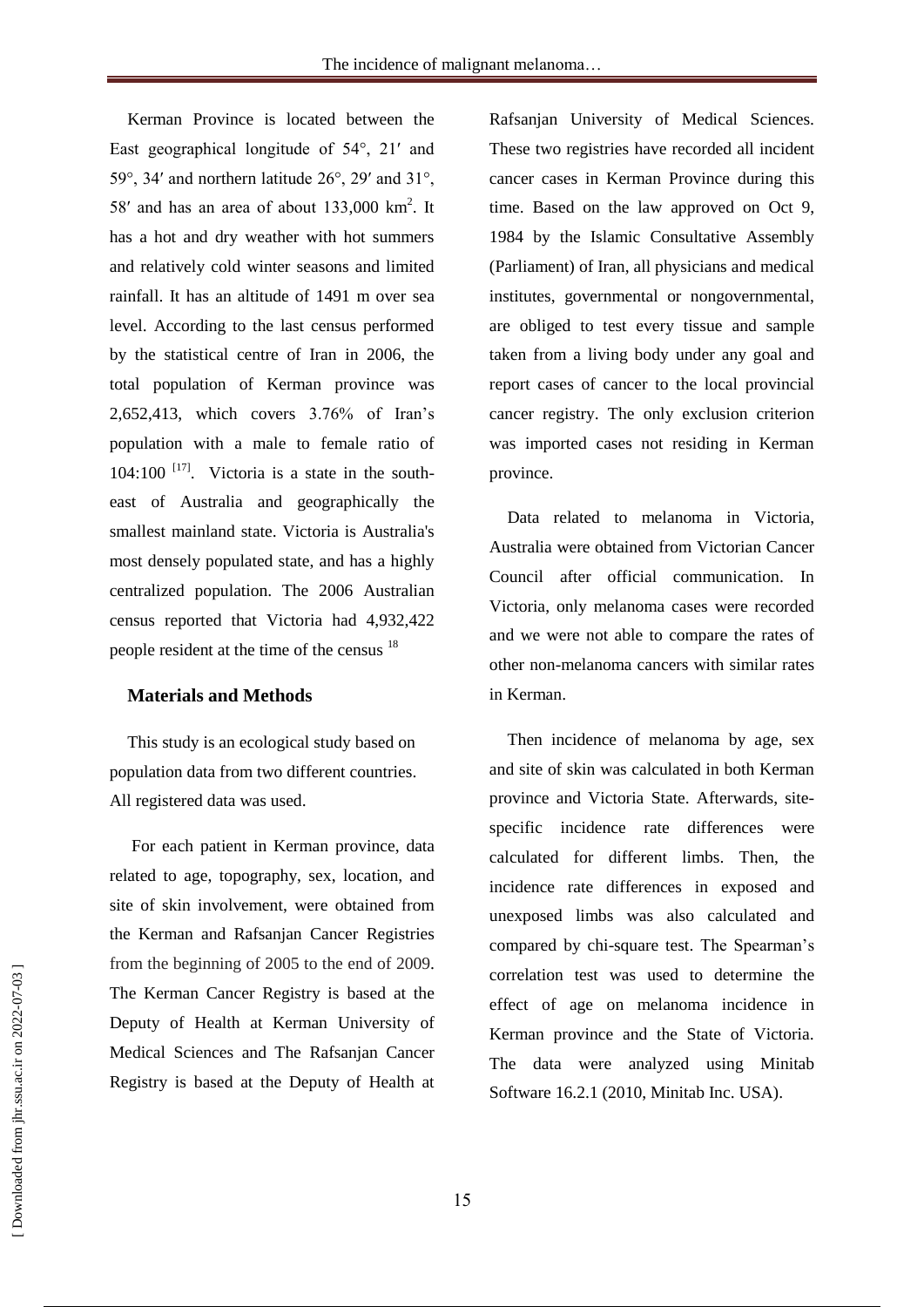Kerman Province is located between the East geographical longitude of 54°, 21′ and 59°, 34′ and northern latitude 26°, 29′ and 31°, 58' and has an area of about  $133,000 \text{ km}^2$ . It has a hot and dry weather with hot summers and relatively cold winter seasons and limited rainfall. It has an altitude of 1491 m over sea level. According to the last census performed by the statistical centre of Iran in 2006, the total population of Kerman province was 2,652,413, which covers 3.76% of Iran's population with a male to female ratio of  $104:100$  <sup>[17]</sup>. Victoria is a state in the southeast of Australia and geographically the smallest mainland state. Victoria is Australia's most densely populated state, and has a highly centralized population. The 2006 Australian census reported that Victoria had 4,932,422 people resident at the time of the census <sup>18</sup>

#### **Materials and Methods**

This study is an ecological study based on population data from two different countries. All registered data was used.

For each patient in Kerman province, data related to age, topography, sex, location, and site of skin involvement, were obtained from the Kerman and Rafsanjan Cancer Registries from the beginning of 2005 to the end of 2009. The Kerman Cancer Registry is based at the Deputy of Health at Kerman University of Medical Sciences and The Rafsanjan Cancer Registry is based at the Deputy of Health at

Rafsanjan University of Medical Sciences. These two registries have recorded all incident cancer cases in Kerman Province during this time. Based on the law approved on Oct 9, 1984 by the Islamic Consultative Assembly (Parliament) of Iran, all physicians and medical institutes, governmental or nongovernmental, are obliged to test every tissue and sample taken from a living body under any goal and report cases of cancer to the local provincial cancer registry. The only exclusion criterion was imported cases not residing in Kerman province.

Data related to melanoma in Victoria, Australia were obtained from Victorian Cancer Council after official communication. In Victoria, only melanoma cases were recorded and we were not able to compare the rates of other non-melanoma cancers with similar rates in Kerman.

Then incidence of melanoma by age, sex and site of skin was calculated in both Kerman province and Victoria State. Afterwards, sitespecific incidence rate differences were calculated for different limbs. Then, the incidence rate differences in exposed and unexposed limbs was also calculated and compared by chi-square test. The Spearman's correlation test was used to determine the effect of age on melanoma incidence in Kerman province and the State of Victoria. The data were analyzed using Minitab Software 16.2.1 (2010, Minitab Inc. USA).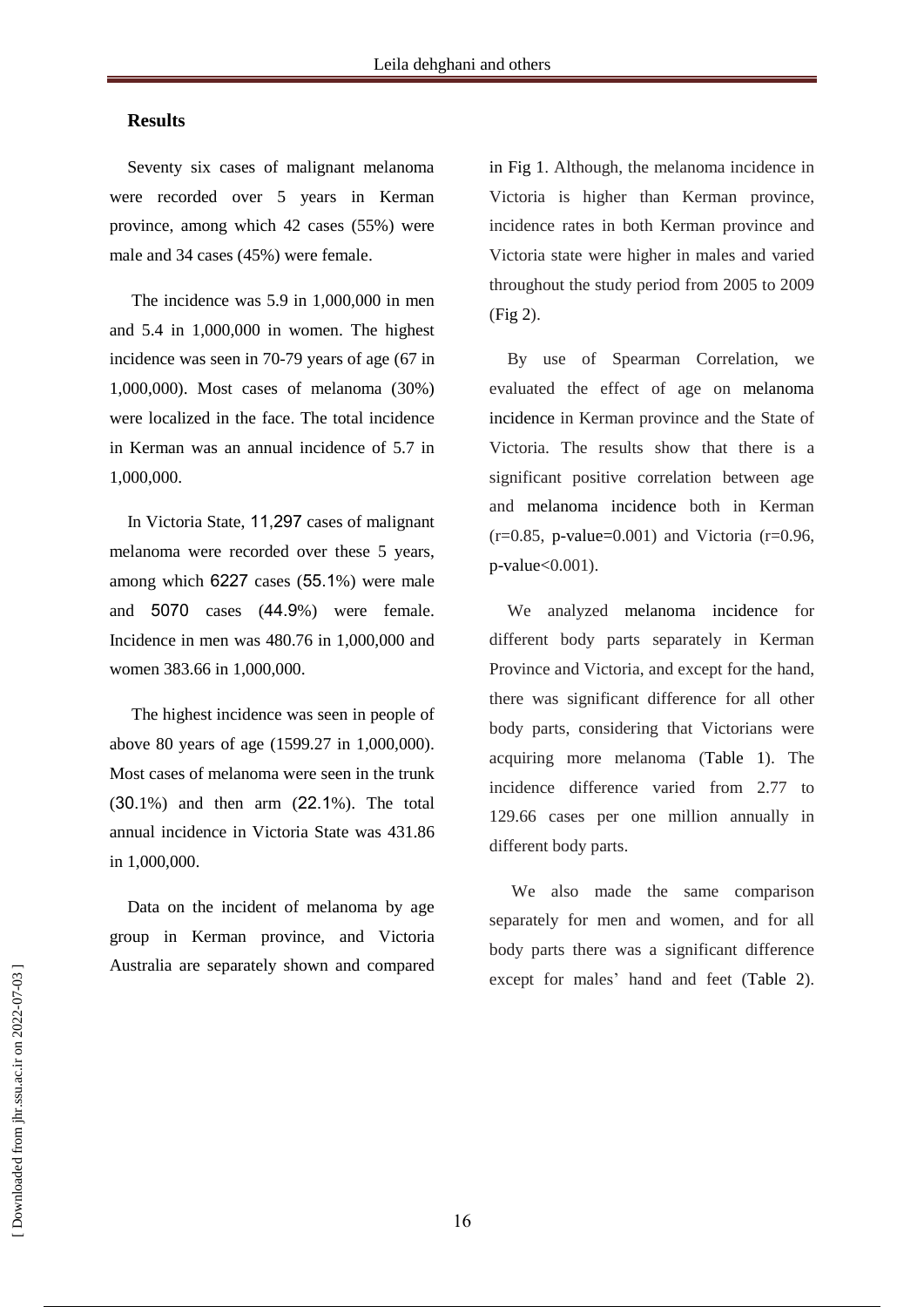#### **Results**

Seventy six cases of malignant melanoma were recorded over 5 years in Kerman province, among which 42 cases (55%) were male and 34 cases (45%) were female.

The incidence was 5.9 in 1,000,000 in men and 5.4 in 1,000,000 in women. The highest incidence was seen in 70-79 years of age (67 in 1,000,000). Most cases of melanoma (30%) were localized in the face. The total incidence in Kerman was an annual incidence of 5.7 in 1,000,000.

In Victoria State, 11,297 cases of malignant melanoma were recorded over these 5 years, among which 6227 cases (55.1%) were male and 5070 cases (44.9%) were female. Incidence in men was 480.76 in 1,000,000 and women 383.66 in 1,000,000.

The highest incidence was seen in people of above 80 years of age (1599.27 in 1,000,000). Most cases of melanoma were seen in the trunk (30.1%) and then arm (22.1%). The total annual incidence in Victoria State was 431.86 in 1,000,000.

Data on the incident of melanoma by age group in Kerman province, and Victoria Australia are separately shown and compared

in Fig 1. Although, the melanoma incidence in Victoria is higher than Kerman province, incidence rates in both Kerman province and Victoria state were higher in males and varied throughout the study period from 2005 to 2009 (Fig 2).

By use of Spearman Correlation, we evaluated the effect of age on melanoma incidence in Kerman province and the State of Victoria. The results show that there is a significant positive correlation between age and melanoma incidence both in Kerman  $(r=0.85, p-value=0.001)$  and Victoria  $(r=0.96,$ p-value<0.001).

We analyzed melanoma incidence for different body parts separately in Kerman Province and Victoria, and except for the hand, there was significant difference for all other body parts, considering that Victorians were acquiring more melanoma (Table 1). The incidence difference varied from 2.77 to 129.66 cases per one million annually in different body parts.

We also made the same comparison separately for men and women, and for all body parts there was a significant difference except for males' hand and feet (Table 2).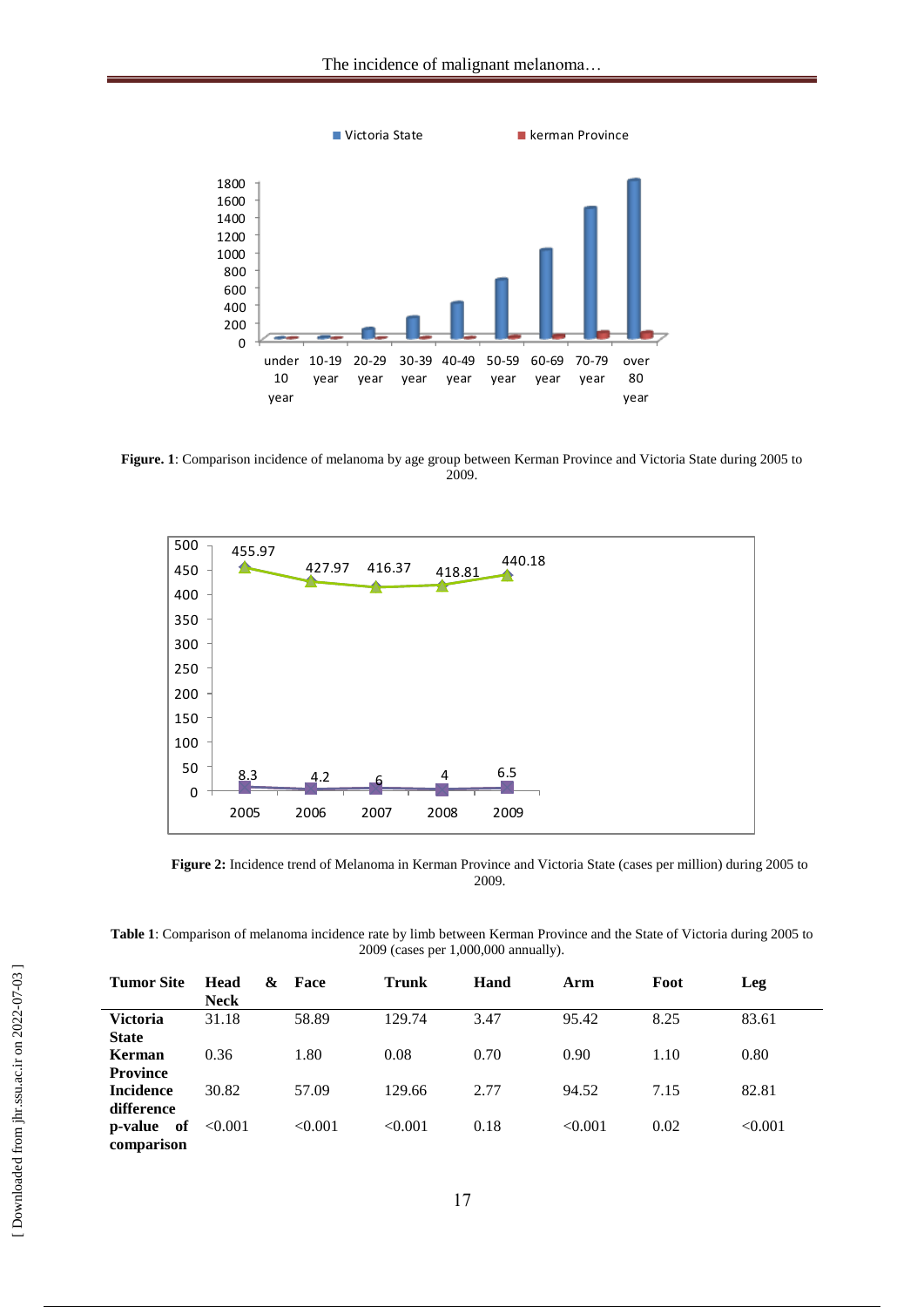

**Figure. 1**: Comparison incidence of melanoma by age group between Kerman Province and Victoria State during 2005 to 2009.



**Figure 2:** Incidence trend of Melanoma in Kerman Province and Victoria State (cases per million) during 2005 to 2009.

**Table 1**: Comparison of melanoma incidence rate by limb between Kerman Province and the State of Victoria during 2005 to 2009 (cases per 1,000,000 annually).

| <b>Tumor Site</b>           | <b>Head</b><br>&<br><b>Neck</b> | Face    | <b>Trunk</b> | Hand | Arm     | Foot | Leg     |
|-----------------------------|---------------------------------|---------|--------------|------|---------|------|---------|
| <b>Victoria</b>             | 31.18                           | 58.89   | 129.74       | 3.47 | 95.42   | 8.25 | 83.61   |
| <b>State</b>                |                                 |         |              |      |         |      |         |
| Kerman                      | 0.36                            | 1.80    | 0.08         | 0.70 | 0.90    | 1.10 | 0.80    |
| <b>Province</b>             |                                 |         |              |      |         |      |         |
| <b>Incidence</b>            | 30.82                           | 57.09   | 129.66       | 2.77 | 94.52   | 7.15 | 82.81   |
| difference                  |                                 |         |              |      |         |      |         |
| of<br>p-value<br>comparison | < 0.001                         | < 0.001 | < 0.001      | 0.18 | < 0.001 | 0.02 | < 0.001 |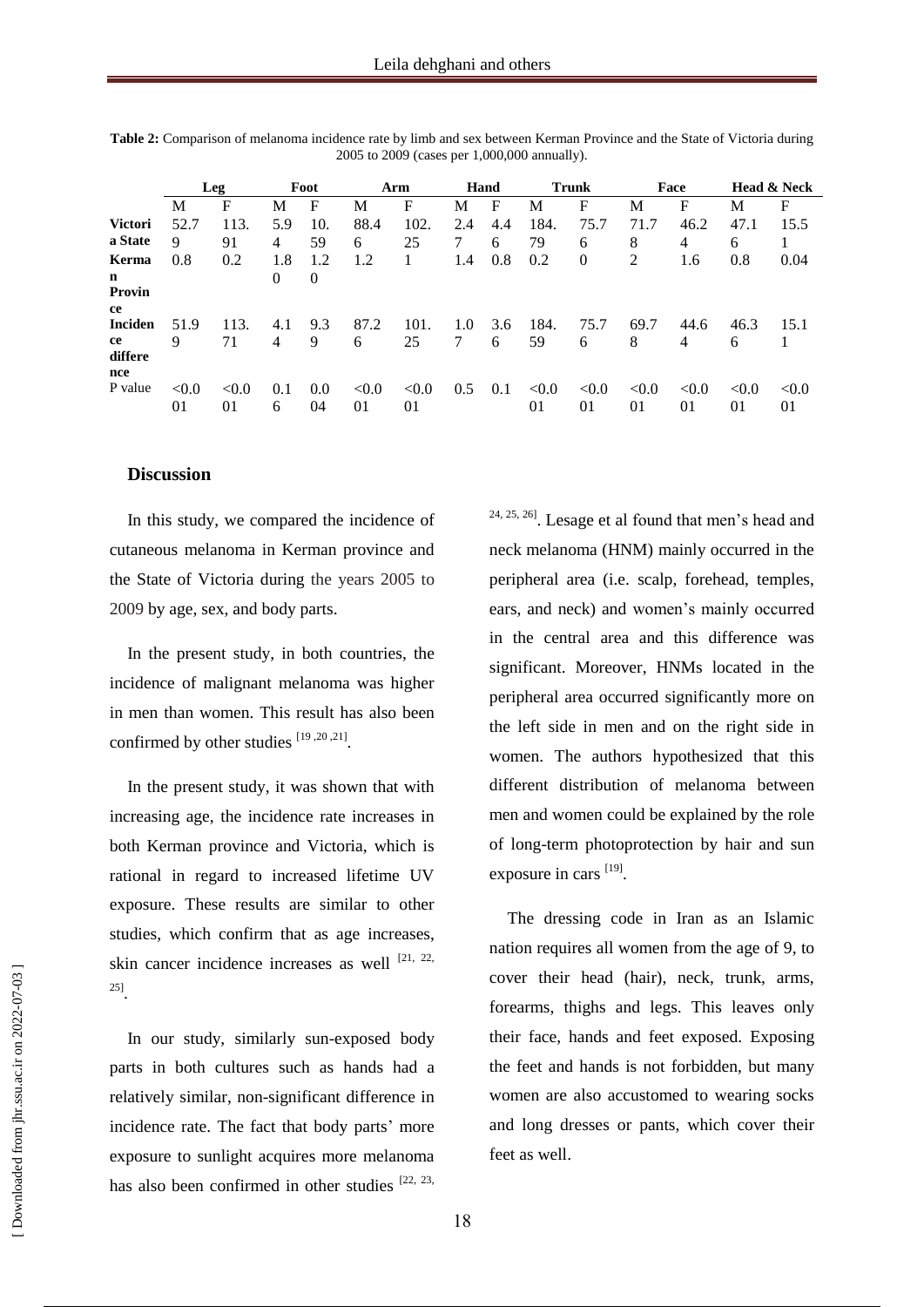|                   | Leg         |             | Foot     |           | Arm         |             | Hand |     | <b>Trunk</b> |             | Face        |             | <b>Head &amp; Neck</b> |             |
|-------------------|-------------|-------------|----------|-----------|-------------|-------------|------|-----|--------------|-------------|-------------|-------------|------------------------|-------------|
|                   | M           | F           | М        | F         | M           | F           | М    | F   | М            | F           | М           | F           | М                      | F           |
| <b>Victori</b>    | 52.7        | 113.        | 5.9      | 10.       | 88.4        | 102.        | 2.4  | 4.4 | 184.         | 75.7        | 71.7        | 46.2        | 47.1                   | 15.5        |
| a State           | 9           | 91          | 4        | 59        | 6           | 25          | 7    | 6   | 79           | 6           | 8           | 4           | 6                      |             |
| Kerma             | 0.8         | 0.2         | 1.8      | 1.2       | 1.2         |             | 1.4  | 0.8 | 0.2          | $\theta$    | 2           | 1.6         | 0.8                    | 0.04        |
| n<br>Provin<br>ce |             |             | $\Omega$ | $\theta$  |             |             |      |     |              |             |             |             |                        |             |
| <b>Inciden</b>    | 51.9        | 113.        | 4.1      | 9.3       | 87.2        | 101.        | 1.0  | 3.6 | 184.         | 75.7        | 69.7        | 44.6        | 46.3                   | 15.1        |
| ce<br>differe     | 9           | 71          | 4        | 9         | 6           | 25          | 7    | 6   | 59           | 6           | 8           | 4           | 6                      |             |
| nce               |             |             |          |           |             |             |      |     |              |             |             |             |                        |             |
| P value           | < 0.0<br>01 | < 0.0<br>01 | 0.1<br>6 | 0.0<br>04 | < 0.0<br>01 | < 0.0<br>01 | 0.5  | 0.1 | < 0.0<br>01  | < 0.0<br>01 | < 0.0<br>01 | < 0.0<br>01 | < 0.0<br>01            | < 0.0<br>01 |

**Table 2:** Comparison of melanoma incidence rate by limb and sex between Kerman Province and the State of Victoria during 2005 to 2009 (cases per 1,000,000 annually).

#### **Discussion**

In this study, we compared the incidence of cutaneous melanoma in Kerman province and the State of Victoria during the years 2005 to 2009 by age, sex, and body parts.

In the present study, in both countries, the incidence of malignant melanoma was higher in men than women. This result has also been confirmed by other studies  $^{[19,20,21]}$ .

In the present study, it was shown that with increasing age, the incidence rate increases in both Kerman province and Victoria, which is rational in regard to increased lifetime UV exposure. These results are similar to other studies, which confirm that as age increases, skin cancer incidence increases as well  $[21, 22, 12]$ 25] .

In our study, similarly sun-exposed body parts in both cultures such as hands had a relatively similar, non-significant difference in incidence rate. The fact that body parts' more exposure to sunlight acquires more melanoma has also been confirmed in other studies  $[22, 23,$ 

 $24, 25, 26$ ]. Lesage et al found that men's head and neck melanoma (HNM) mainly occurred in the peripheral area (i.e. scalp, forehead, temples, ears, and neck) and women's mainly occurred in the central area and this difference was significant. Moreover, HNMs located in the peripheral area occurred significantly more on the left side in men and on the right side in women. The authors hypothesized that this different distribution of melanoma between men and women could be explained by the role of long-term photoprotection by hair and sun exposure in cars [19].

The dressing code in Iran as an Islamic nation requires all women from the age of 9, to cover their head (hair), neck, trunk, arms, forearms, thighs and legs. This leaves only their face, hands and feet exposed. Exposing the feet and hands is not forbidden, but many women are also accustomed to wearing socks and long dresses or pants, which cover their feet as well.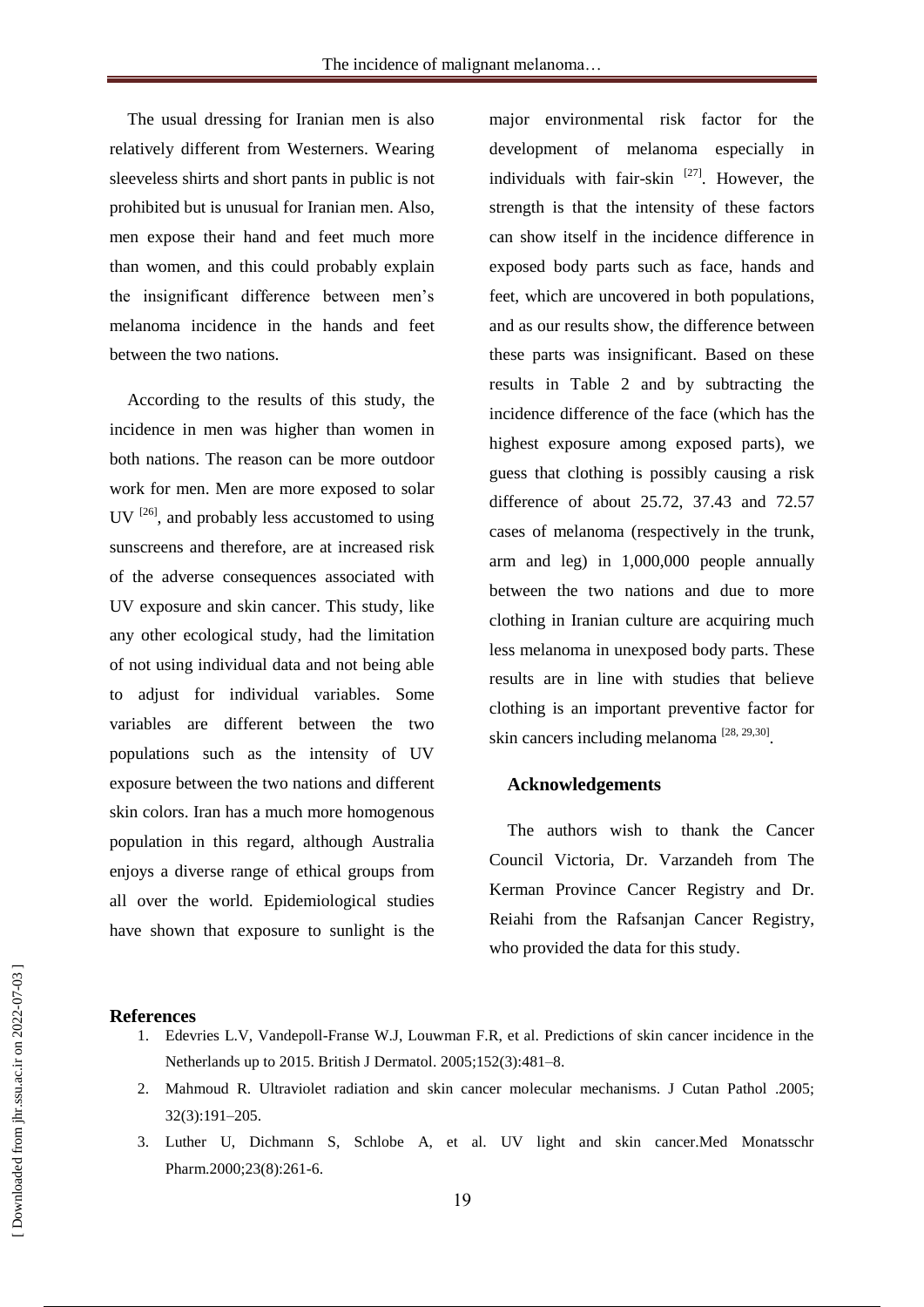The usual dressing for Iranian men is also relatively different from Westerners. Wearing sleeveless shirts and short pants in public is not prohibited but is unusual for Iranian men. Also, men expose their hand and feet much more than women, and this could probably explain the insignificant difference between men's melanoma incidence in the hands and feet between the two nations.

According to the results of this study, the incidence in men was higher than women in both nations. The reason can be more outdoor work for men. Men are more exposed to solar UV  $^{[26]}$ , and probably less accustomed to using sunscreens and therefore, are at increased risk of the adverse consequences associated with UV exposure and skin cancer. This study, like any other ecological study, had the limitation of not using individual data and not being able to adjust for individual variables. Some variables are different between the two populations such as the intensity of UV exposure between the two nations and different skin colors. Iran has a much more homogenous population in this regard, although Australia enjoys a diverse range of ethical groups from all over the world. Epidemiological studies have shown that exposure to sunlight is the

major environmental risk factor for the development of melanoma especially in individuals with fair-skin  $[27]$ . However, the strength is that the intensity of these factors can show itself in the incidence difference in exposed body parts such as face, hands and feet, which are uncovered in both populations, and as our results show, the difference between these parts was insignificant. Based on these results in Table 2 and by subtracting the incidence difference of the face (which has the highest exposure among exposed parts), we guess that clothing is possibly causing a risk difference of about 25.72, 37.43 and 72.57 cases of melanoma (respectively in the trunk, arm and leg) in 1,000,000 people annually between the two nations and due to more clothing in Iranian culture are acquiring much less melanoma in unexposed body parts. These results are in line with studies that believe clothing is an important preventive factor for skin cancers including melanoma  $^{[28, 29, 30]}$ .

#### **Acknowledgements**

The authors wish to thank the Cancer Council Victoria, Dr. Varzandeh from The Kerman Province Cancer Registry and Dr. Reiahi from the Rafsanjan Cancer Registry, who provided the data for this study.

#### **References**

- 1. Edevries L.V, Vandepoll-Franse W.J, Louwman F.R, et al. Predictions of skin cancer incidence in the Netherlands up to 2015. British J Dermatol. 2005;152(3):481–8.
- 2. Mahmoud R. Ultraviolet radiation and skin cancer molecular mechanisms. J Cutan Pathol .2005; 32(3):191–205.
- 3. Luther U, Dichmann S, Schlobe A, et al. UV light and skin cancer.Med Monatsschr Pharm.2000;23(8):261-6.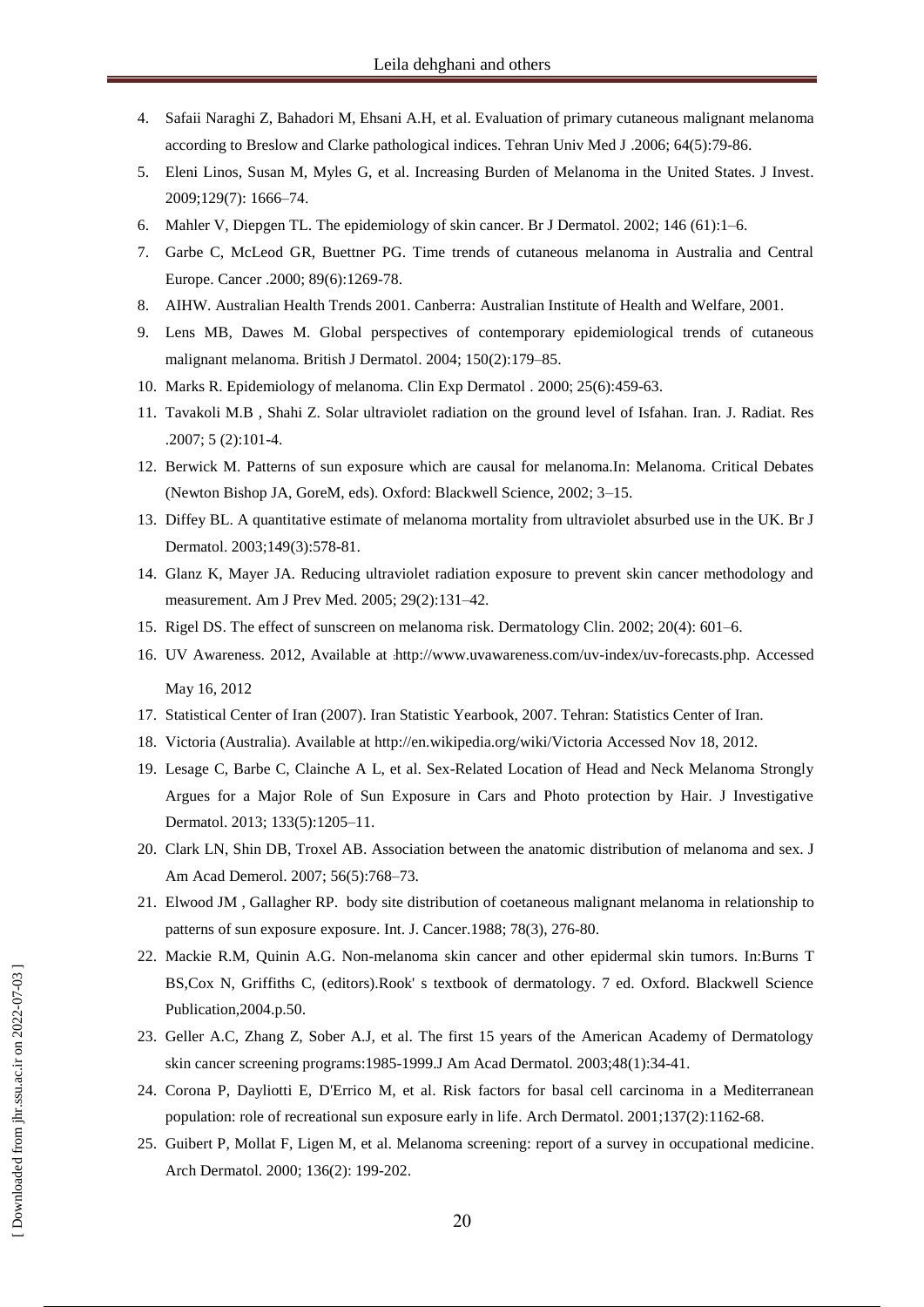- 4. Safaii Naraghi Z, Bahadori M, Ehsani A.H, et al. Evaluation of primary cutaneous malignant melanoma according to Breslow and Clarke pathological indices. Tehran Univ Med J .2006; 64(5):79-86.
- 5. Eleni Linos, Susan M, Myles G, et al. Increasing Burden of Melanoma in the United States. J Invest. 2009;129(7): 1666–74.
- 6. Mahler V, Diepgen TL. The epidemiology of skin cancer. Br J Dermatol. 2002; 146 (61):1–6.
- 7. Garbe C, McLeod GR, Buettner PG. Time trends of cutaneous melanoma in Australia and Central Europe. Cancer .2000; 89(6):1269-78.
- 8. AIHW. Australian Health Trends 2001. Canberra: Australian Institute of Health and Welfare, 2001.
- 9. [Lens MB,](http://www.ncbi.nlm.nih.gov/pubmed?term=Lens%20MB%5BAuthor%5D&cauthor=true&cauthor_uid=14996086) [Dawes](http://www.ncbi.nlm.nih.gov/pubmed?term=Dawes%20M%5BAuthor%5D&cauthor=true&cauthor_uid=14996086) M. Global perspectives of contemporary epidemiological trends of cutaneous malignant melanoma. British J Dermatol. 2004; 150(2):179–85.
- 10. Marks R. Epidemiology of melanoma. Clin Exp Dermatol . 2000; 25(6):459-63.
- 11. Tavakoli M.B , Shahi Z. Solar ultraviolet radiation on the ground level of Isfahan. Iran. J. Radiat. Res .2007; 5 (2):101-4.
- 12. Berwick M. Patterns of sun exposure which are causal for melanoma.In: Melanoma. Critical Debates (Newton Bishop JA, GoreM, eds). Oxford: Blackwell Science, 2002; 3–15.
- 13. Diffey BL. A quantitative estimate of melanoma mortality from ultraviolet absurbed use in the UK. Br J Dermatol. 2003;149(3):578-81.
- 14. Glanz K, Mayer JA. Reducing ultraviolet radiation exposure to prevent skin cancer methodology and measurement. Am J Prev Med. 2005; 29(2):131–42.
- 15. Rigel DS. The effect of sunscreen on melanoma risk. Dermatology Clin. 2002; 20(4): 601–6.
- 16. UV Awareness. 2012, Available at .http://www.uvawareness.com/uv-index/uv-forecasts.php. Accessed May 16, 2012
- 17. Statistical Center of Iran (2007). Iran Statistic Yearbook, 2007. Tehran: Statistics Center of Iran.
- 18. Victoria (Australia). Available at http://en.wikipedia.org/wiki/Victoria Accessed Nov 18, 2012.
- 19. Lesage C, Barbe C, Clainche A L, et al. Sex-Related Location of Head and Neck Melanoma Strongly Argues for a Major Role of Sun Exposure in Cars and Photo protection by Hair. J Investigative Dermatol. 2013; 133(5):1205–11.
- 20. Clark LN, Shin DB, Troxel AB. Association between the anatomic distribution of melanoma and sex. J Am Acad Demerol. 2007; 56(5):768–73.
- 21. Elwood JM , Gallagher RP. body site distribution of coetaneous malignant melanoma in relationship to patterns of sun exposure exposure. Int. J. Cancer.1988; 78(3), 276-80.
- 22. Mackie R.M, Quinin A.G. Non-melanoma skin cancer and other epidermal skin tumors. In:Burns T BS,Cox N, Griffiths C, (editors).Rook' s textbook of dermatology. 7 ed. Oxford. Blackwell Science Publication,2004.p.50.
- 23. Geller A.C, Zhang Z, Sober A.J, et al. The first 15 years of the American Academy of Dermatology skin cancer screening programs:1985-1999.J Am Acad Dermatol. 2003;48(1):34-41.
- 24. Corona P, Dayliotti E, D'Errico M, et al. Risk factors for basal cell carcinoma in a Mediterranean population: role of recreational sun exposure early in life. Arch Dermatol. 2001;137(2):1162-68.
- 25. Guibert P, Mollat F, Ligen M, et al. Melanoma screening: report of a survey in occupational medicine. Arch Dermatol. 2000; 136(2): 199-202.